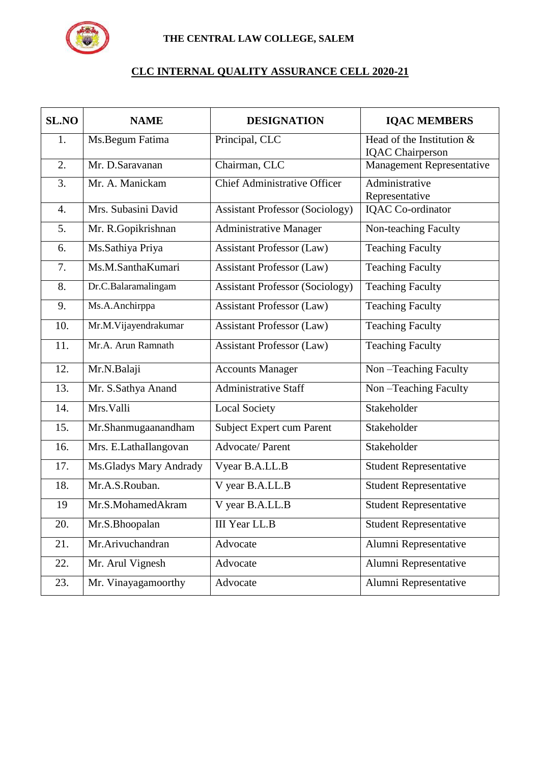

## **CLC INTERNAL QUALITY ASSURANCE CELL 2020-21**

| <b>SL.NO</b>     | <b>NAME</b>             | <b>DESIGNATION</b>                     | <b>IQAC MEMBERS</b>                                    |
|------------------|-------------------------|----------------------------------------|--------------------------------------------------------|
| 1.               | Ms.Begum Fatima         | Principal, CLC                         | Head of the Institution $&$<br><b>IQAC</b> Chairperson |
| 2.               | Mr. D.Saravanan         | Chairman, CLC                          | Management Representative                              |
| 3.               | Mr. A. Manickam         | <b>Chief Administrative Officer</b>    | Administrative<br>Representative                       |
| $\overline{4}$ . | Mrs. Subasini David     | <b>Assistant Professor (Sociology)</b> | <b>IQAC</b> Co-ordinator                               |
| 5.               | Mr. R.Gopikrishnan      | <b>Administrative Manager</b>          | Non-teaching Faculty                                   |
| 6.               | Ms.Sathiya Priya        | <b>Assistant Professor (Law)</b>       | <b>Teaching Faculty</b>                                |
| 7.               | Ms.M.SanthaKumari       | <b>Assistant Professor (Law)</b>       | <b>Teaching Faculty</b>                                |
| 8.               | Dr.C.Balaramalingam     | <b>Assistant Professor (Sociology)</b> | <b>Teaching Faculty</b>                                |
| 9.               | Ms.A.Anchirppa          | <b>Assistant Professor (Law)</b>       | <b>Teaching Faculty</b>                                |
| 10.              | Mr.M.Vijayendrakumar    | <b>Assistant Professor (Law)</b>       | <b>Teaching Faculty</b>                                |
| 11.              | Mr.A. Arun Ramnath      | <b>Assistant Professor (Law)</b>       | <b>Teaching Faculty</b>                                |
| 12.              | Mr.N.Balaji             | <b>Accounts Manager</b>                | Non-Teaching Faculty                                   |
| 13.              | Mr. S.Sathya Anand      | <b>Administrative Staff</b>            | Non-Teaching Faculty                                   |
| 14.              | Mrs. Valli              | <b>Local Society</b>                   | Stakeholder                                            |
| 15.              | Mr.Shanmugaanandham     | <b>Subject Expert cum Parent</b>       | Stakeholder                                            |
| 16.              | Mrs. E.LathaIlangovan   | Advocate/Parent                        | Stakeholder                                            |
| 17.              | Ms. Gladys Mary Andrady | Vyear B.A.LL.B                         | <b>Student Representative</b>                          |
| 18.              | Mr.A.S.Rouban.          | V year B.A.LL.B                        | <b>Student Representative</b>                          |
| 19               | Mr.S.MohamedAkram       | V year B.A.LL.B                        | <b>Student Representative</b>                          |
| 20.              | Mr.S.Bhoopalan          | <b>III Year LL.B</b>                   | <b>Student Representative</b>                          |
| 21.              | Mr.Arivuchandran        | Advocate                               | Alumni Representative                                  |
| 22.              | Mr. Arul Vignesh        | Advocate                               | Alumni Representative                                  |
| 23.              | Mr. Vinayagamoorthy     | Advocate                               | Alumni Representative                                  |